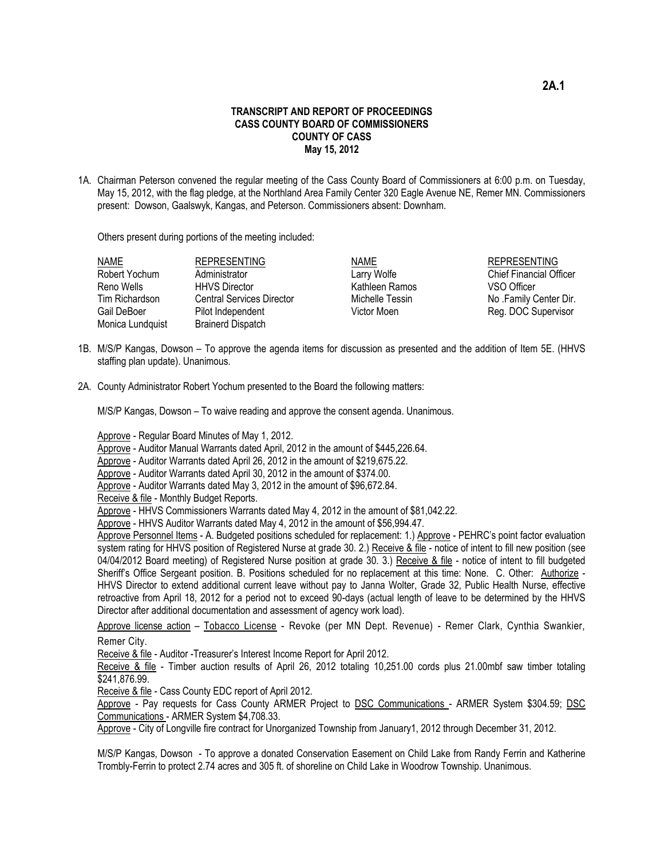## **TRANSCRIPT AND REPORT OF PROCEEDINGS CASS COUNTY BOARD OF COMMISSIONERS COUNTY OF CASS May 15, 2012**

1A. Chairman Peterson convened the regular meeting of the Cass County Board of Commissioners at 6:00 p.m. on Tuesday, May 15, 2012, with the flag pledge, at the Northland Area Family Center 320 Eagle Avenue NE, Remer MN. Commissioners present: Dowson, Gaalswyk, Kangas, and Peterson. Commissioners absent: Downham.

Others present during portions of the meeting included:

| <b>NAME</b>      | <b>REPRESENTING</b>              | <b>NAME</b>     | <b>REPRESENTING</b>            |
|------------------|----------------------------------|-----------------|--------------------------------|
| Robert Yochum    | Administrator                    | Larry Wolfe     | <b>Chief Financial Officer</b> |
| Reno Wells       | <b>HHVS Director</b>             | Kathleen Ramos  | VSO Officer                    |
| Tim Richardson   | <b>Central Services Director</b> | Michelle Tessin | No .Family Center Dir.         |
| Gail DeBoer      | Pilot Independent                | Victor Moen     | Reg. DOC Supervisor            |
| Monica Lundquist | <b>Brainerd Dispatch</b>         |                 |                                |
|                  |                                  |                 |                                |

- 1B. M/S/P Kangas, Dowson To approve the agenda items for discussion as presented and the addition of Item 5E. (HHVS staffing plan update). Unanimous.
- 2A. County Administrator Robert Yochum presented to the Board the following matters:

M/S/P Kangas, Dowson – To waive reading and approve the consent agenda. Unanimous.

Approve - Regular Board Minutes of May 1, 2012.

Approve - Auditor Manual Warrants dated April, 2012 in the amount of \$445,226.64.

Approve - Auditor Warrants dated April 26, 2012 in the amount of \$219,675.22.

Approve - Auditor Warrants dated April 30, 2012 in the amount of \$374.00.

Approve - Auditor Warrants dated May 3, 2012 in the amount of \$96,672.84.

Receive & file - Monthly Budget Reports.

Approve - HHVS Commissioners Warrants dated May 4, 2012 in the amount of \$81,042.22.

Approve - HHVS Auditor Warrants dated May 4, 2012 in the amount of \$56,994.47.

Approve Personnel Items - A. Budgeted positions scheduled for replacement: 1.) Approve - PEHRC's point factor evaluation system rating for HHVS position of Registered Nurse at grade 30. 2.) Receive & file - notice of intent to fill new position (see 04/04/2012 Board meeting) of Registered Nurse position at grade 30. 3.) Receive & file - notice of intent to fill budgeted Sheriff's Office Sergeant position. B. Positions scheduled for no replacement at this time: None. C. Other: Authorize -HHVS Director to extend additional current leave without pay to Janna Wolter, Grade 32, Public Health Nurse, effective retroactive from April 18, 2012 for a period not to exceed 90-days (actual length of leave to be determined by the HHVS Director after additional documentation and assessment of agency work load).

Approve license action – Tobacco License - Revoke (per MN Dept. Revenue) - Remer Clark, Cynthia Swankier, Remer City.

Receive & file - Auditor -Treasurer's Interest Income Report for April 2012.

Receive & file - Timber auction results of April 26, 2012 totaling 10,251.00 cords plus 21.00mbf saw timber totaling \$241,876.99.

Receive & file - Cass County EDC report of April 2012.

Approve - Pay requests for Cass County ARMER Project to DSC Communications - ARMER System \$304.59; DSC Communications - ARMER System \$4,708.33.

Approve - City of Longville fire contract for Unorganized Township from January1, 2012 through December 31, 2012.

M/S/P Kangas, Dowson - To approve a donated Conservation Easement on Child Lake from Randy Ferrin and Katherine Trombly-Ferrin to protect 2.74 acres and 305 ft. of shoreline on Child Lake in Woodrow Township. Unanimous.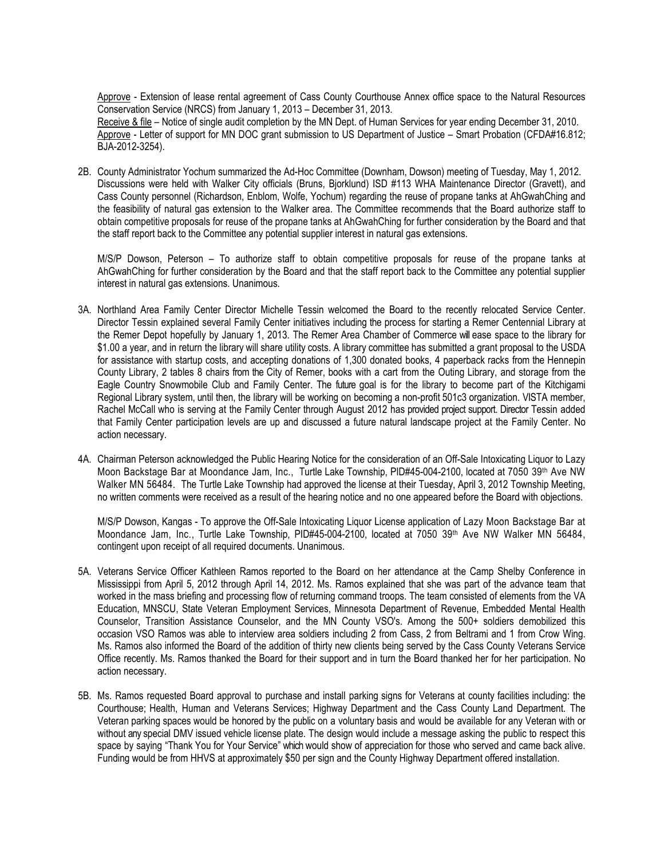Approve - Extension of lease rental agreement of Cass County Courthouse Annex office space to the Natural Resources Conservation Service (NRCS) from January 1, 2013 – December 31, 2013.

Receive & file – Notice of single audit completion by the MN Dept. of Human Services for year ending December 31, 2010. Approve - Letter of support for MN DOC grant submission to US Department of Justice – Smart Probation (CFDA#16.812; BJA-2012-3254).

2B. County Administrator Yochum summarized the Ad-Hoc Committee (Downham, Dowson) meeting of Tuesday, May 1, 2012. Discussions were held with Walker City officials (Bruns, Bjorklund) ISD #113 WHA Maintenance Director (Gravett), and Cass County personnel (Richardson, Enblom, Wolfe, Yochum) regarding the reuse of propane tanks at AhGwahChing and the feasibility of natural gas extension to the Walker area. The Committee recommends that the Board authorize staff to obtain competitive proposals for reuse of the propane tanks at AhGwahChing for further consideration by the Board and that the staff report back to the Committee any potential supplier interest in natural gas extensions.

M/S/P Dowson, Peterson – To authorize staff to obtain competitive proposals for reuse of the propane tanks at AhGwahChing for further consideration by the Board and that the staff report back to the Committee any potential supplier interest in natural gas extensions. Unanimous.

- 3A. Northland Area Family Center Director Michelle Tessin welcomed the Board to the recently relocated Service Center. Director Tessin explained several Family Center initiatives including the process for starting a Remer Centennial Library at the Remer Depot hopefully by January 1, 2013. The Remer Area Chamber of Commerce will ease space to the library for \$1.00 a year, and in return the library will share utility costs. A library committee has submitted a grant proposal to the USDA for assistance with startup costs, and accepting donations of 1,300 donated books, 4 paperback racks from the Hennepin County Library, 2 tables 8 chairs from the City of Remer, books with a cart from the Outing Library, and storage from the Eagle Country Snowmobile Club and Family Center. The future goal is for the library to become part of the Kitchigami Regional Library system, until then, the library will be working on becoming a non-profit 501c3 organization. VISTA member, Rachel McCall who is serving at the Family Center through August 2012 has provided project support. Director Tessin added that Family Center participation levels are up and discussed a future natural landscape project at the Family Center. No action necessary.
- 4A. Chairman Peterson acknowledged the Public Hearing Notice for the consideration of an Off-Sale Intoxicating Liquor to Lazy Moon Backstage Bar at Moondance Jam, Inc., Turtle Lake Township, PID#45-004-2100, located at 7050 39th Ave NW Walker MN 56484. The Turtle Lake Township had approved the license at their Tuesday, April 3, 2012 Township Meeting, no written comments were received as a result of the hearing notice and no one appeared before the Board with objections.

M/S/P Dowson, Kangas - To approve the Off-Sale Intoxicating Liquor License application of Lazy Moon Backstage Bar at Moondance Jam, Inc., Turtle Lake Township, PID#45-004-2100, located at 7050 39th Ave NW Walker MN 56484, contingent upon receipt of all required documents. Unanimous.

- 5A. Veterans Service Officer Kathleen Ramos reported to the Board on her attendance at the Camp Shelby Conference in Mississippi from April 5, 2012 through April 14, 2012. Ms. Ramos explained that she was part of the advance team that worked in the mass briefing and processing flow of returning command troops. The team consisted of elements from the VA Education, MNSCU, State Veteran Employment Services, Minnesota Department of Revenue, Embedded Mental Health Counselor, Transition Assistance Counselor, and the MN County VSO's. Among the 500+ soldiers demobilized this occasion VSO Ramos was able to interview area soldiers including 2 from Cass, 2 from Beltrami and 1 from Crow Wing. Ms. Ramos also informed the Board of the addition of thirty new clients being served by the Cass County Veterans Service Office recently. Ms. Ramos thanked the Board for their support and in turn the Board thanked her for her participation. No action necessary.
- 5B. Ms. Ramos requested Board approval to purchase and install parking signs for Veterans at county facilities including: the Courthouse; Health, Human and Veterans Services; Highway Department and the Cass County Land Department. The Veteran parking spaces would be honored by the public on a voluntary basis and would be available for any Veteran with or without any special DMV issued vehicle license plate. The design would include a message asking the public to respect this space by saying "Thank You for Your Service" which would show of appreciation for those who served and came back alive. Funding would be from HHVS at approximately \$50 per sign and the County Highway Department offered installation.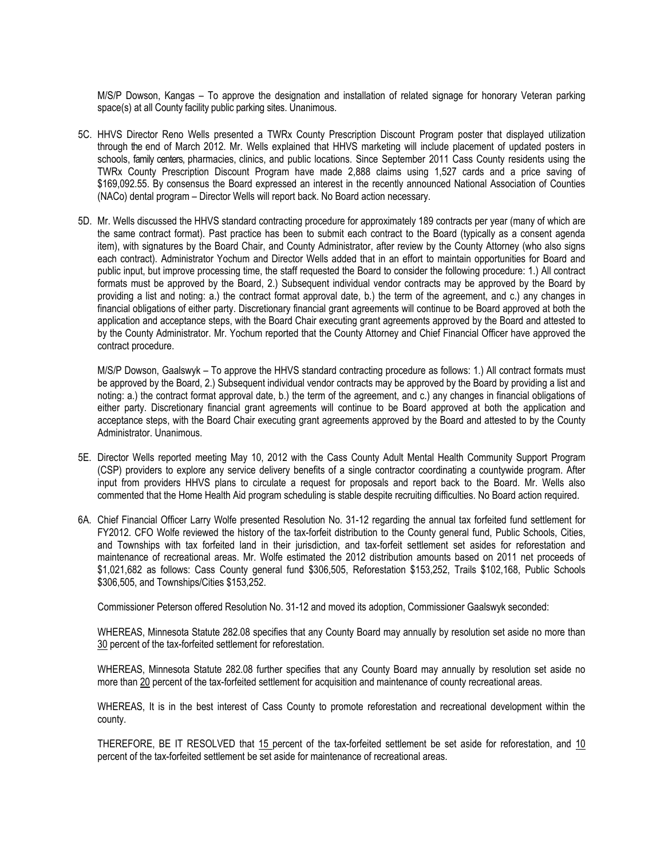M/S/P Dowson, Kangas – To approve the designation and installation of related signage for honorary Veteran parking space(s) at all County facility public parking sites. Unanimous.

- 5C. HHVS Director Reno Wells presented a TWRx County Prescription Discount Program poster that displayed utilization through the end of March 2012. Mr. Wells explained that HHVS marketing will include placement of updated posters in schools, family centers, pharmacies, clinics, and public locations. Since September 2011 Cass County residents using the TWRx County Prescription Discount Program have made 2,888 claims using 1,527 cards and a price saving of \$169,092.55. By consensus the Board expressed an interest in the recently announced National Association of Counties (NACo) dental program – Director Wells will report back. No Board action necessary.
- 5D. Mr. Wells discussed the HHVS standard contracting procedure for approximately 189 contracts per year (many of which are the same contract format). Past practice has been to submit each contract to the Board (typically as a consent agenda item), with signatures by the Board Chair, and County Administrator, after review by the County Attorney (who also signs each contract). Administrator Yochum and Director Wells added that in an effort to maintain opportunities for Board and public input, but improve processing time, the staff requested the Board to consider the following procedure: 1.) All contract formats must be approved by the Board, 2.) Subsequent individual vendor contracts may be approved by the Board by providing a list and noting: a.) the contract format approval date, b.) the term of the agreement, and c.) any changes in financial obligations of either party. Discretionary financial grant agreements will continue to be Board approved at both the application and acceptance steps, with the Board Chair executing grant agreements approved by the Board and attested to by the County Administrator. Mr. Yochum reported that the County Attorney and Chief Financial Officer have approved the contract procedure.

M/S/P Dowson, Gaalswyk – To approve the HHVS standard contracting procedure as follows: 1.) All contract formats must be approved by the Board, 2.) Subsequent individual vendor contracts may be approved by the Board by providing a list and noting: a.) the contract format approval date, b.) the term of the agreement, and c.) any changes in financial obligations of either party. Discretionary financial grant agreements will continue to be Board approved at both the application and acceptance steps, with the Board Chair executing grant agreements approved by the Board and attested to by the County Administrator. Unanimous.

- 5E. Director Wells reported meeting May 10, 2012 with the Cass County Adult Mental Health Community Support Program (CSP) providers to explore any service delivery benefits of a single contractor coordinating a countywide program. After input from providers HHVS plans to circulate a request for proposals and report back to the Board. Mr. Wells also commented that the Home Health Aid program scheduling is stable despite recruiting difficulties. No Board action required.
- 6A. Chief Financial Officer Larry Wolfe presented Resolution No. 31-12 regarding the annual tax forfeited fund settlement for FY2012. CFO Wolfe reviewed the history of the tax-forfeit distribution to the County general fund, Public Schools, Cities, and Townships with tax forfeited land in their jurisdiction, and tax-forfeit settlement set asides for reforestation and maintenance of recreational areas. Mr. Wolfe estimated the 2012 distribution amounts based on 2011 net proceeds of \$1,021,682 as follows: Cass County general fund \$306,505, Reforestation \$153,252, Trails \$102,168, Public Schools \$306,505, and Townships/Cities \$153,252.

Commissioner Peterson offered Resolution No. 31-12 and moved its adoption, Commissioner Gaalswyk seconded:

WHEREAS, Minnesota Statute 282.08 specifies that any County Board may annually by resolution set aside no more than 30 percent of the tax-forfeited settlement for reforestation.

WHEREAS, Minnesota Statute 282.08 further specifies that any County Board may annually by resolution set aside no more than 20 percent of the tax-forfeited settlement for acquisition and maintenance of county recreational areas.

WHEREAS, It is in the best interest of Cass County to promote reforestation and recreational development within the county.

THEREFORE, BE IT RESOLVED that 15 percent of the tax-forfeited settlement be set aside for reforestation, and 10 percent of the tax-forfeited settlement be set aside for maintenance of recreational areas.